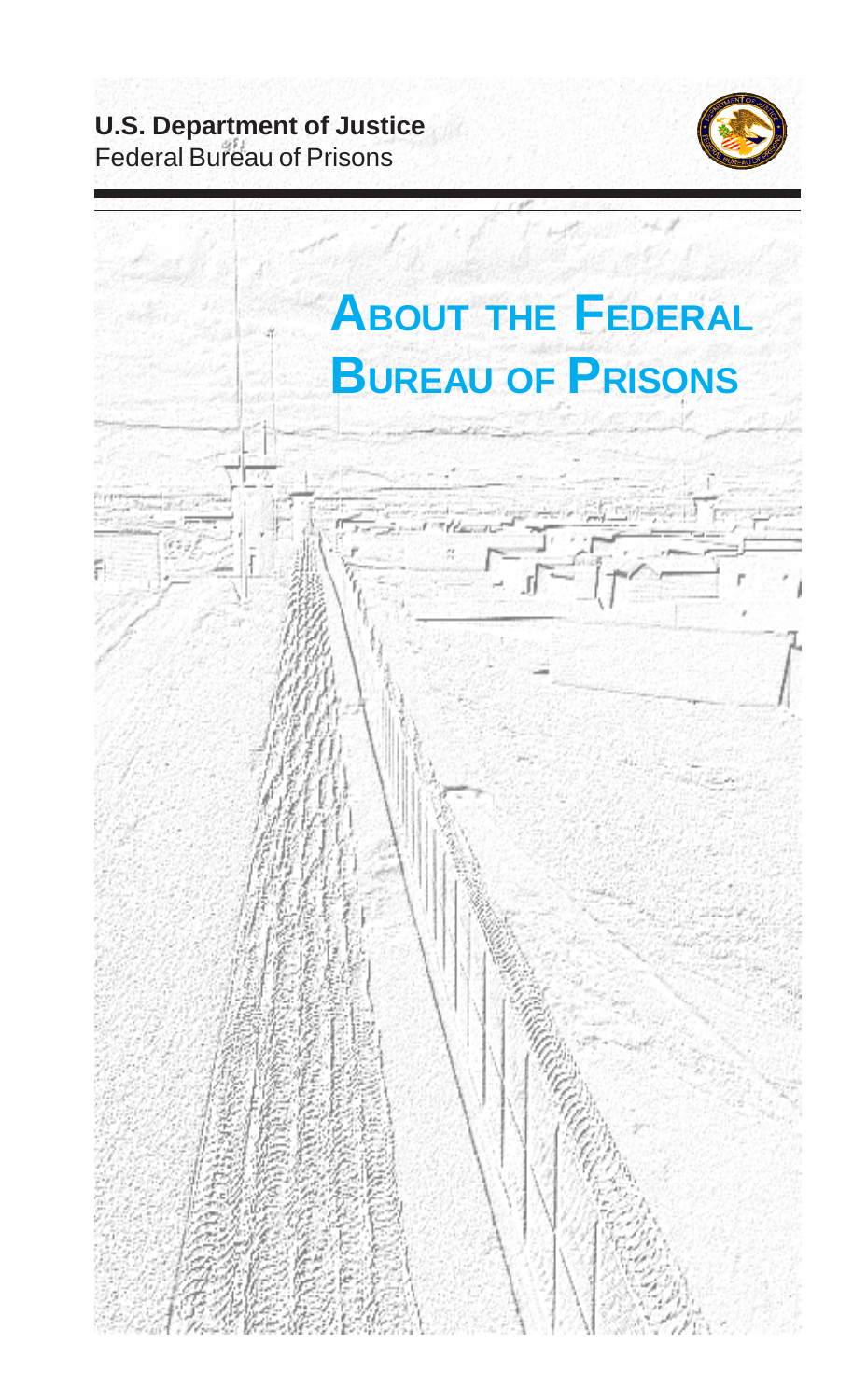# **U.S. Department of Justice Federal Bureau of Prisons**



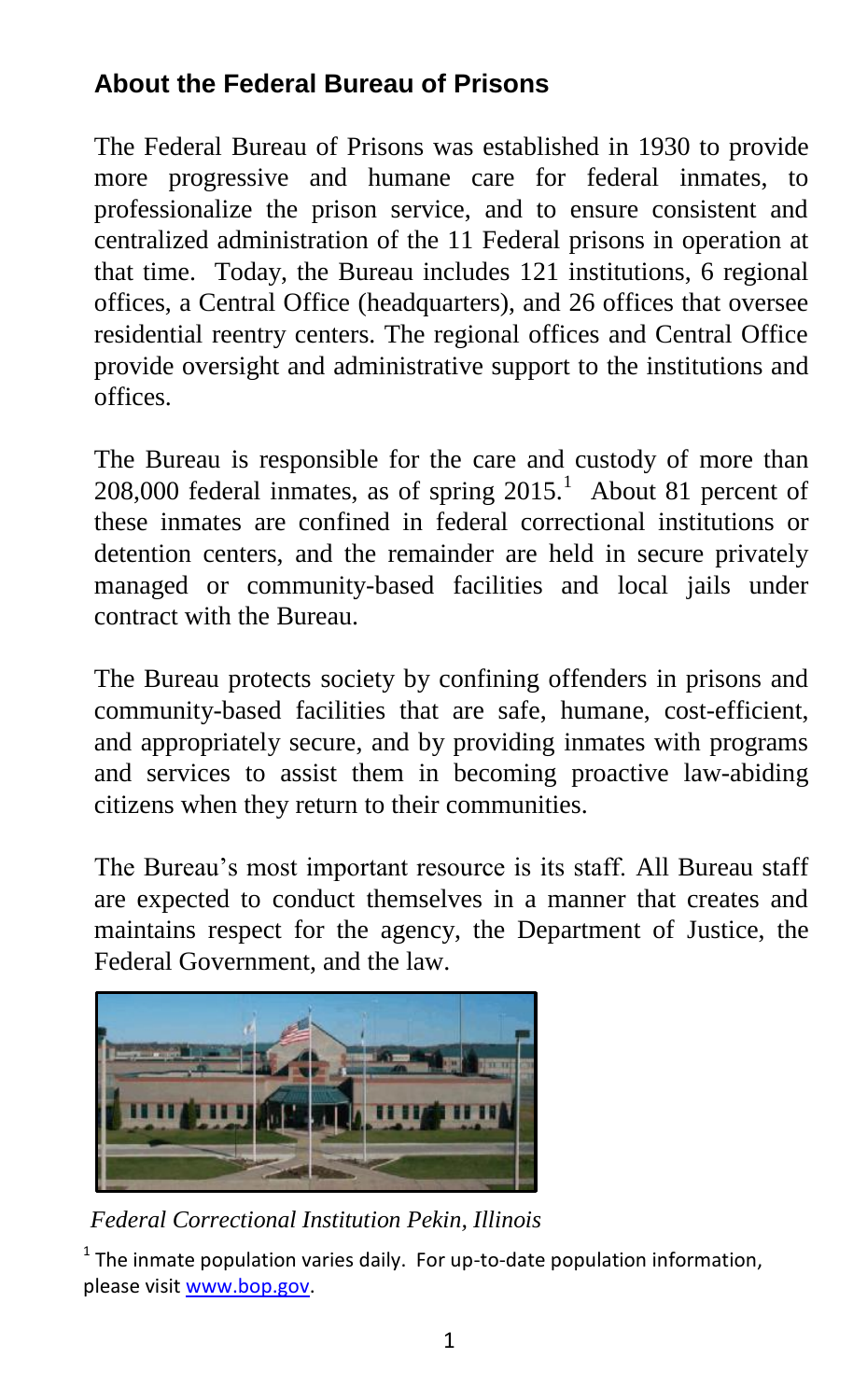# **About the Federal Bureau of Prisons**

The Federal Bureau of Prisons was established in 1930 to provide more progressive and humane care for federal inmates, to professionalize the prison service, and to ensure consistent and centralized administration of the 11 Federal prisons in operation at that time. Today, the Bureau includes 121 institutions, 6 regional offices, a Central Office (headquarters), and 26 offices that oversee residential reentry centers. The regional offices and Central Office provide oversight and administrative support to the institutions and offices.

The Bureau is responsible for the care and custody of more than  $208,000$  federal inmates, as of spring  $2015<sup>1</sup>$  About 81 percent of these inmates are confined in federal correctional institutions or detention centers, and the remainder are held in secure privately managed or community-based facilities and local jails under contract with the Bureau.

The Bureau protects society by confining offenders in prisons and community-based facilities that are safe, humane, cost-efficient, and appropriately secure, and by providing inmates with programs and services to assist them in becoming proactive law-abiding citizens when they return to their communities.

The Bureau's most important resource is its staff. All Bureau staff are expected to conduct themselves in a manner that creates and maintains respect for the agency, the Department of Justice, the Federal Government, and the law.



*Federal Correctional Institution Pekin, Illinois*

 $1$  The inmate population varies daily. For up-to-date population information, please visit [www.bop.gov.](file://COPC_IPPAGRP_SERVER/IPPAGRP/Groups/Ippa/OIS/pacomsec/Office%20of%20Communications%20and%20Archives/About%20the%20BOP%20brochure/www.bop.gov%20)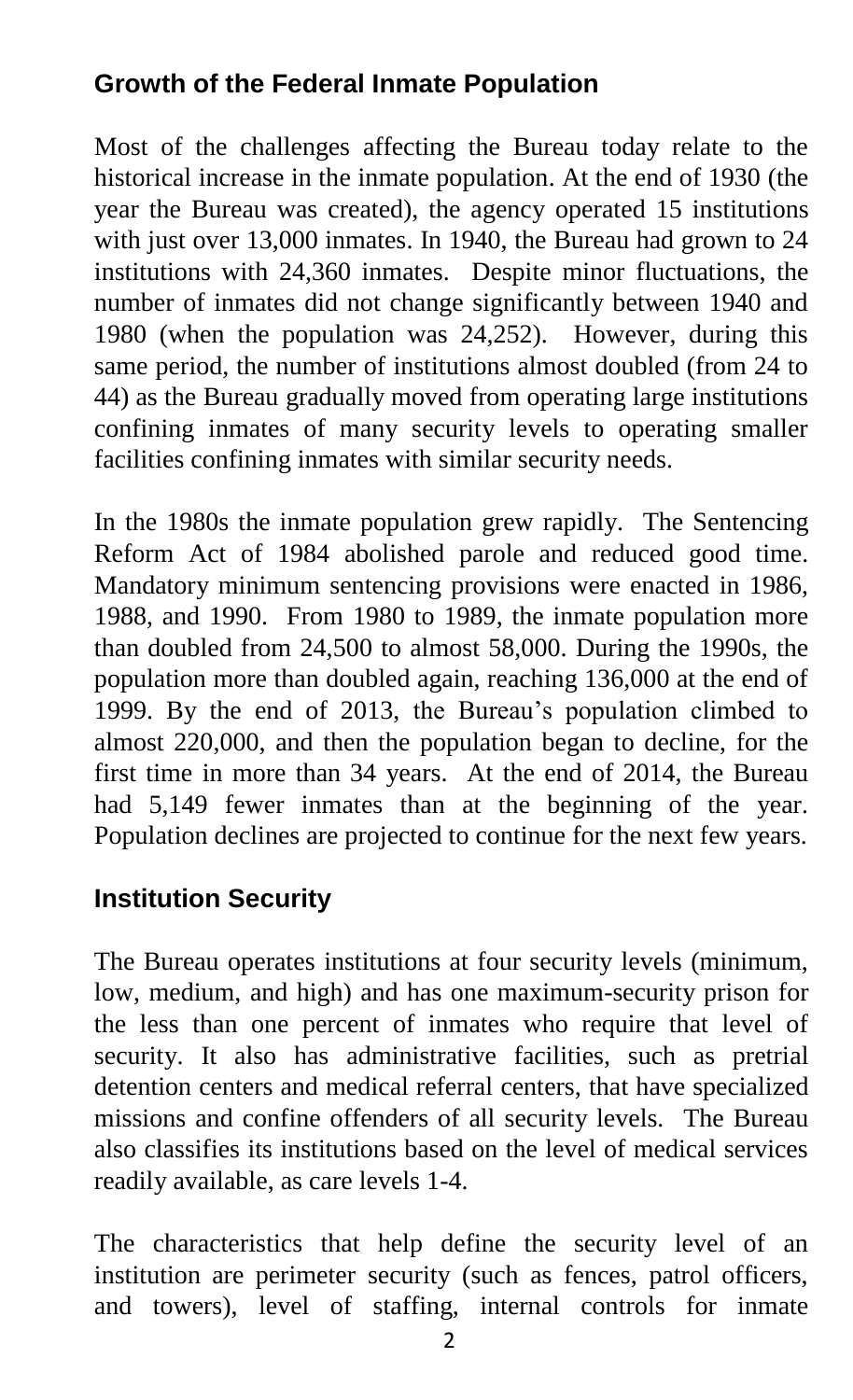## **Growth of the Federal Inmate Population**

Most of the challenges affecting the Bureau today relate to the historical increase in the inmate population. At the end of 1930 (the year the Bureau was created), the agency operated 15 institutions with just over 13,000 inmates. In 1940, the Bureau had grown to 24 institutions with 24,360 inmates. Despite minor fluctuations, the number of inmates did not change significantly between 1940 and 1980 (when the population was 24,252). However, during this same period, the number of institutions almost doubled (from 24 to 44) as the Bureau gradually moved from operating large institutions confining inmates of many security levels to operating smaller facilities confining inmates with similar security needs.

In the 1980s the inmate population grew rapidly. The Sentencing Reform Act of 1984 abolished parole and reduced good time. Mandatory minimum sentencing provisions were enacted in 1986, 1988, and 1990. From 1980 to 1989, the inmate population more than doubled from 24,500 to almost 58,000. During the 1990s, the population more than doubled again, reaching 136,000 at the end of 1999. By the end of 2013, the Bureau's population climbed to almost 220,000, and then the population began to decline, for the first time in more than 34 years. At the end of 2014, the Bureau had 5,149 fewer inmates than at the beginning of the year. Population declines are projected to continue for the next few years.

#### **Institution Security**

The Bureau operates institutions at four security levels (minimum, low, medium, and high) and has one maximum-security prison for the less than one percent of inmates who require that level of security. It also has administrative facilities, such as pretrial detention centers and medical referral centers, that have specialized missions and confine offenders of all security levels. The Bureau also classifies its institutions based on the level of medical services readily available, as care levels 1-4.

The characteristics that help define the security level of an institution are perimeter security (such as fences, patrol officers, and towers), level of staffing, internal controls for inmate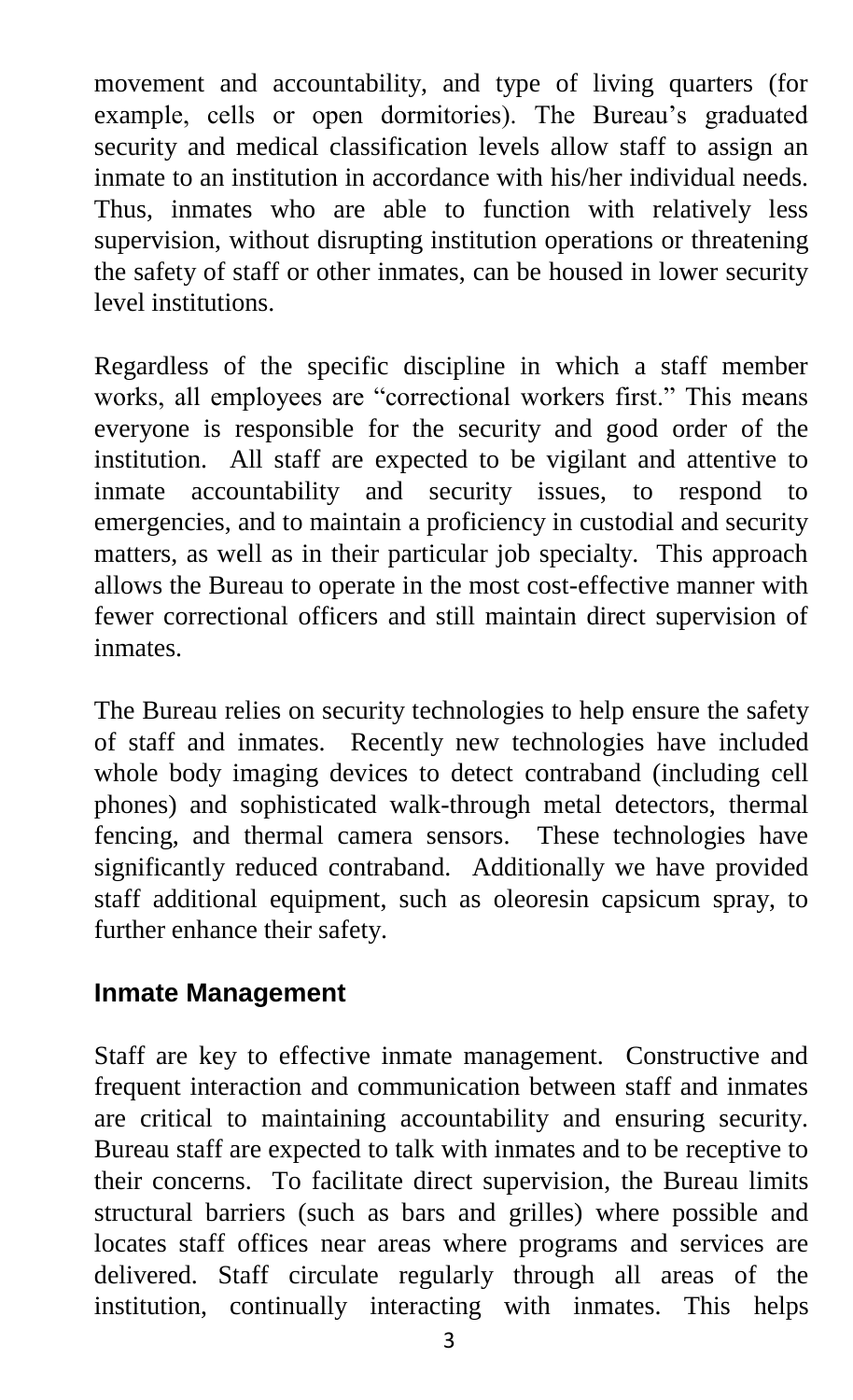movement and accountability, and type of living quarters (for example, cells or open dormitories). The Bureau's graduated security and medical classification levels allow staff to assign an inmate to an institution in accordance with his/her individual needs. Thus, inmates who are able to function with relatively less supervision, without disrupting institution operations or threatening the safety of staff or other inmates, can be housed in lower security level institutions.

Regardless of the specific discipline in which a staff member works, all employees are "correctional workers first." This means everyone is responsible for the security and good order of the institution. All staff are expected to be vigilant and attentive to inmate accountability and security issues, to respond to emergencies, and to maintain a proficiency in custodial and security matters, as well as in their particular job specialty. This approach allows the Bureau to operate in the most cost-effective manner with fewer correctional officers and still maintain direct supervision of inmates.

The Bureau relies on security technologies to help ensure the safety of staff and inmates. Recently new technologies have included whole body imaging devices to detect contraband (including cell phones) and sophisticated walk-through metal detectors, thermal fencing, and thermal camera sensors. These technologies have significantly reduced contraband. Additionally we have provided staff additional equipment, such as oleoresin capsicum spray, to further enhance their safety.

#### **Inmate Management**

Staff are key to effective inmate management. Constructive and frequent interaction and communication between staff and inmates are critical to maintaining accountability and ensuring security. Bureau staff are expected to talk with inmates and to be receptive to their concerns. To facilitate direct supervision, the Bureau limits structural barriers (such as bars and grilles) where possible and locates staff offices near areas where programs and services are delivered. Staff circulate regularly through all areas of the institution, continually interacting with inmates. This helps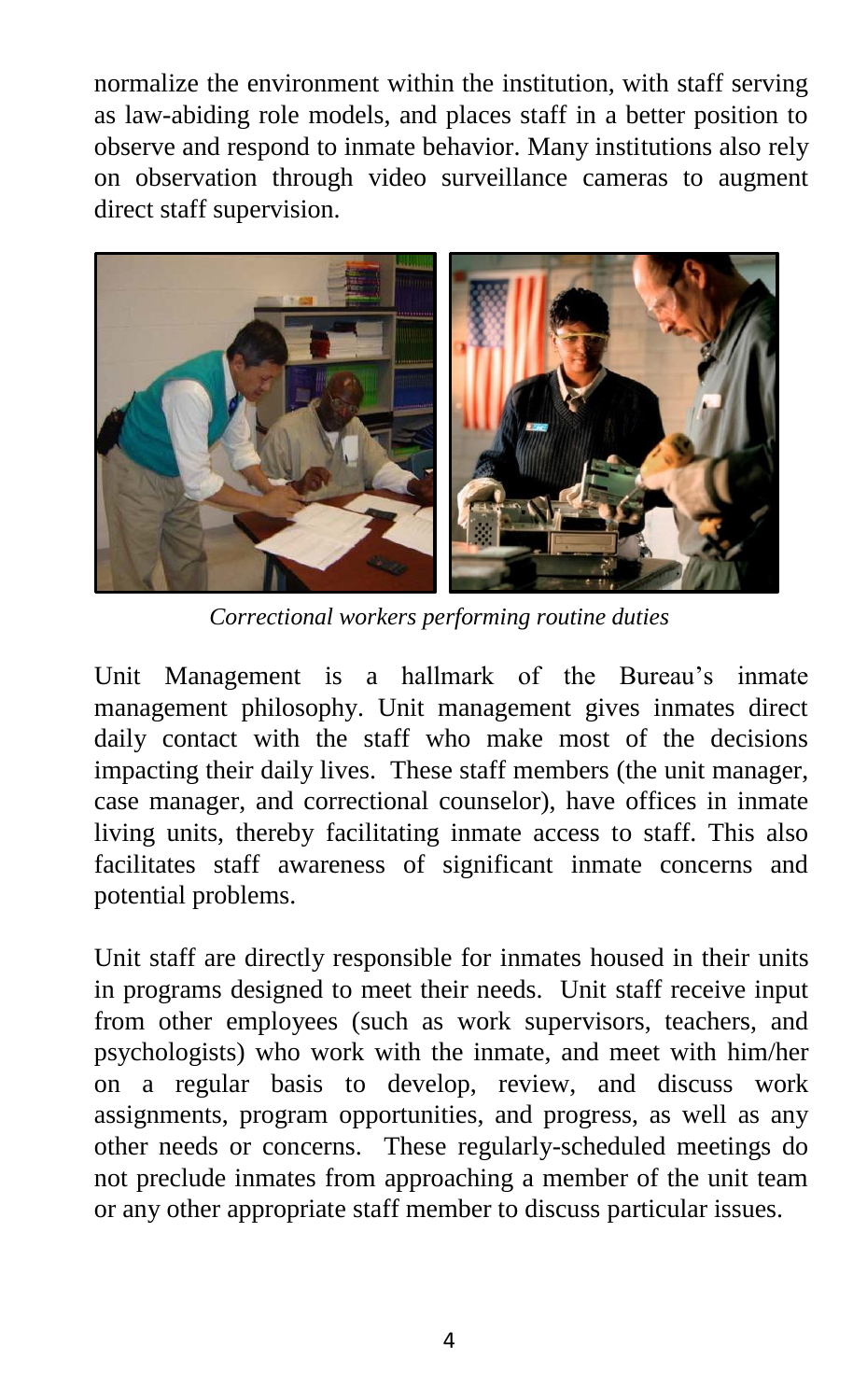normalize the environment within the institution, with staff serving as law-abiding role models, and places staff in a better position to observe and respond to inmate behavior. Many institutions also rely on observation through video surveillance cameras to augment direct staff supervision.



 *Correctional workers performing routine duties*

Unit Management is a hallmark of the Bureau's inmate management philosophy. Unit management gives inmates direct daily contact with the staff who make most of the decisions impacting their daily lives. These staff members (the unit manager, case manager, and correctional counselor), have offices in inmate living units, thereby facilitating inmate access to staff. This also facilitates staff awareness of significant inmate concerns and potential problems.

Unit staff are directly responsible for inmates housed in their units in programs designed to meet their needs. Unit staff receive input from other employees (such as work supervisors, teachers, and psychologists) who work with the inmate, and meet with him/her on a regular basis to develop, review, and discuss work assignments, program opportunities, and progress, as well as any other needs or concerns. These regularly-scheduled meetings do not preclude inmates from approaching a member of the unit team or any other appropriate staff member to discuss particular issues.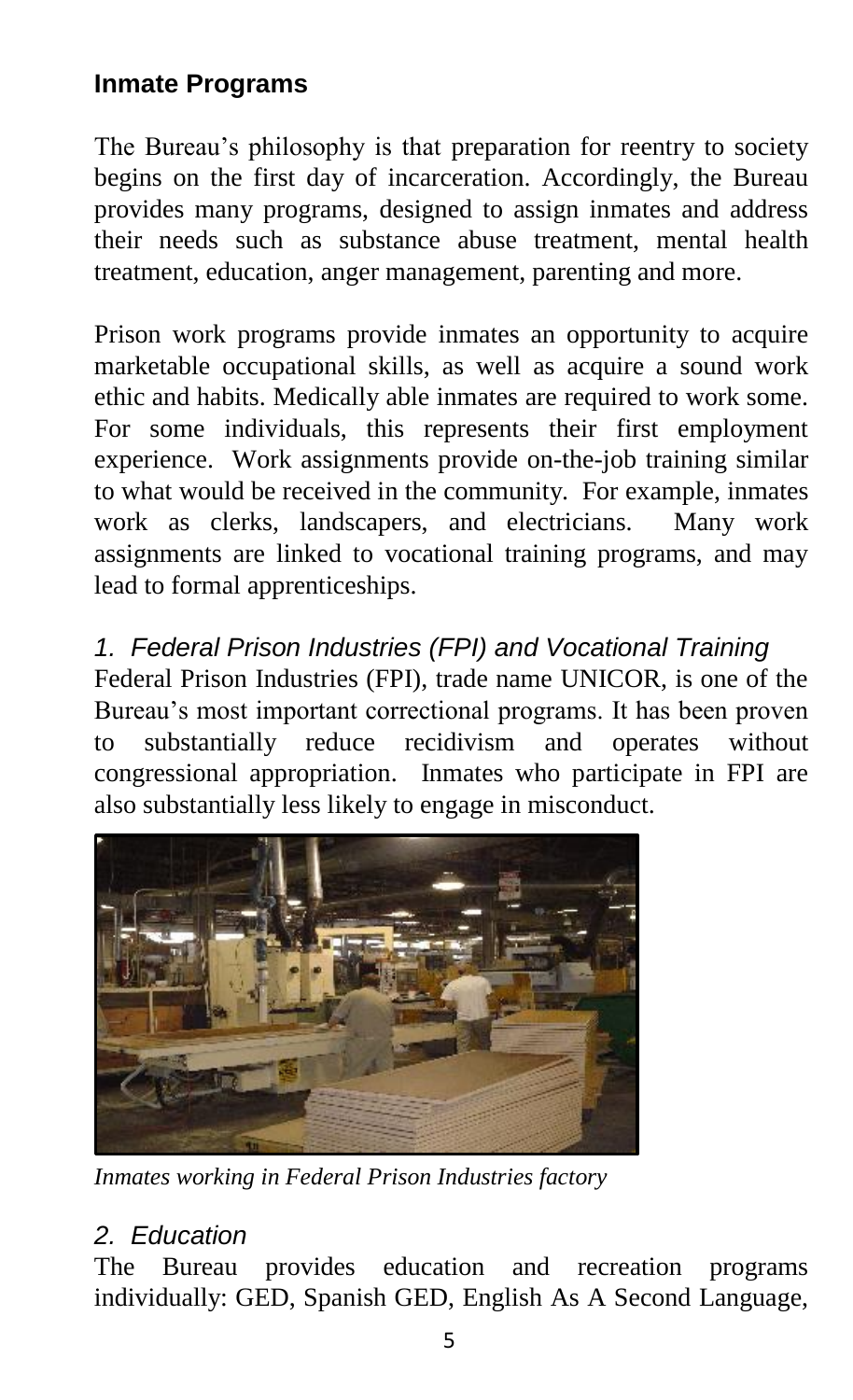#### **Inmate Programs**

The Bureau's philosophy is that preparation for reentry to society begins on the first day of incarceration. Accordingly, the Bureau provides many programs, designed to assign inmates and address their needs such as substance abuse treatment, mental health treatment, education, anger management, parenting and more.

Prison work programs provide inmates an opportunity to acquire marketable occupational skills, as well as acquire a sound work ethic and habits. Medically able inmates are required to work some. For some individuals, this represents their first employment experience. Work assignments provide on-the-job training similar to what would be received in the community. For example, inmates work as clerks, landscapers, and electricians. Many work assignments are linked to vocational training programs, and may lead to formal apprenticeships.

*1. Federal Prison Industries (FPI) and Vocational Training*

Federal Prison Industries (FPI), trade name UNICOR, is one of the Bureau's most important correctional programs. It has been proven to substantially reduce recidivism and operates without congressional appropriation. Inmates who participate in FPI are also substantially less likely to engage in misconduct.



*Inmates working in Federal Prison Industries factory*

#### *2. Education*

The Bureau provides education and recreation programs individually: GED, Spanish GED, English As A Second Language,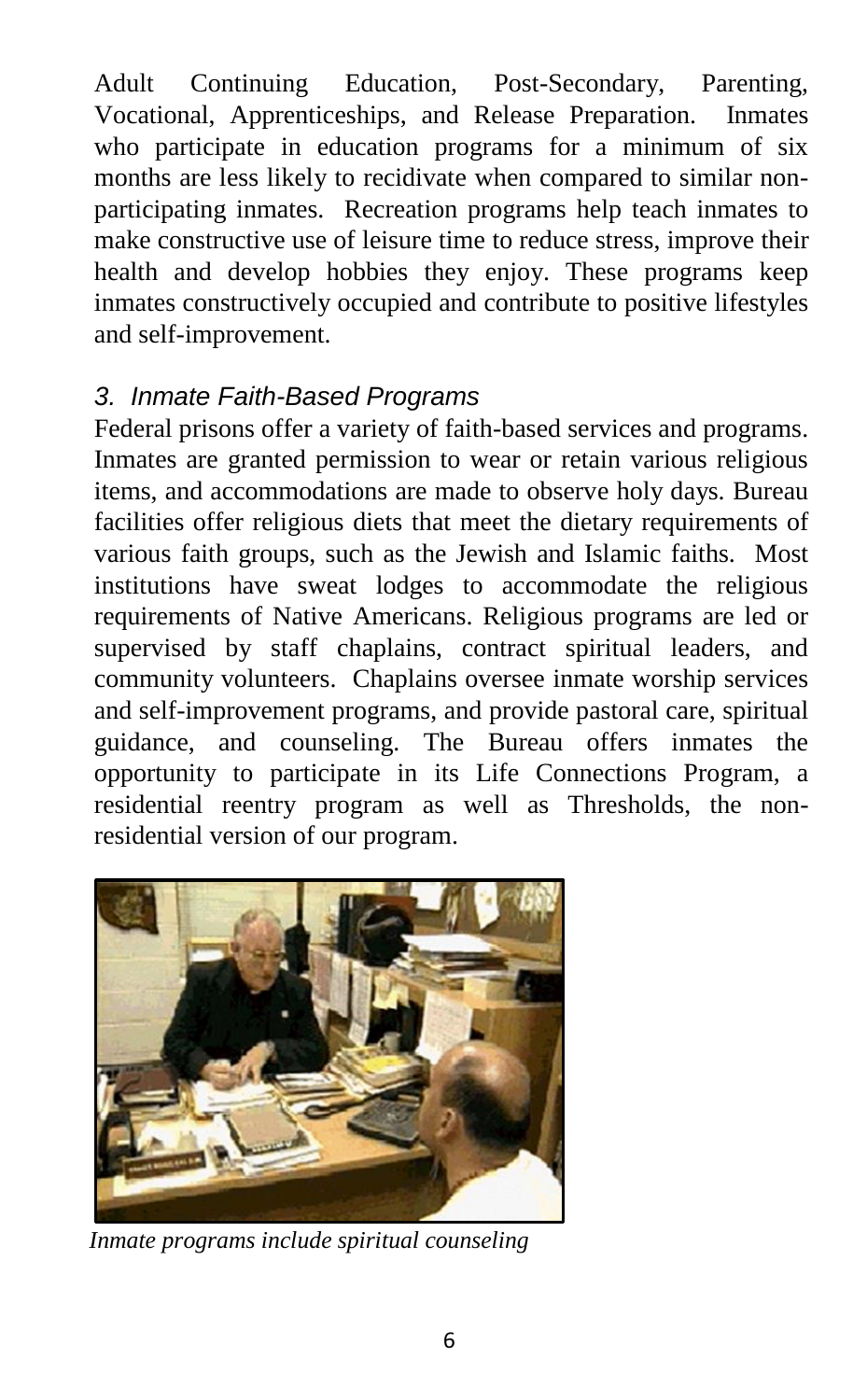Adult Continuing Education, Post-Secondary, Parenting, Vocational, Apprenticeships, and Release Preparation. Inmates who participate in education programs for a minimum of six months are less likely to recidivate when compared to similar nonparticipating inmates. Recreation programs help teach inmates to make constructive use of leisure time to reduce stress, improve their health and develop hobbies they enjoy. These programs keep inmates constructively occupied and contribute to positive lifestyles and self-improvement.

#### *3. Inmate Faith-Based Programs*

Federal prisons offer a variety of faith-based services and programs. Inmates are granted permission to wear or retain various religious items, and accommodations are made to observe holy days. Bureau facilities offer religious diets that meet the dietary requirements of various faith groups, such as the Jewish and Islamic faiths. Most institutions have sweat lodges to accommodate the religious requirements of Native Americans. Religious programs are led or supervised by staff chaplains, contract spiritual leaders, and community volunteers. Chaplains oversee inmate worship services and self-improvement programs, and provide pastoral care, spiritual guidance, and counseling. The Bureau offers inmates the opportunity to participate in its Life Connections Program, a residential reentry program as well as Thresholds, the nonresidential version of our program.



*Inmate programs include spiritual counseling*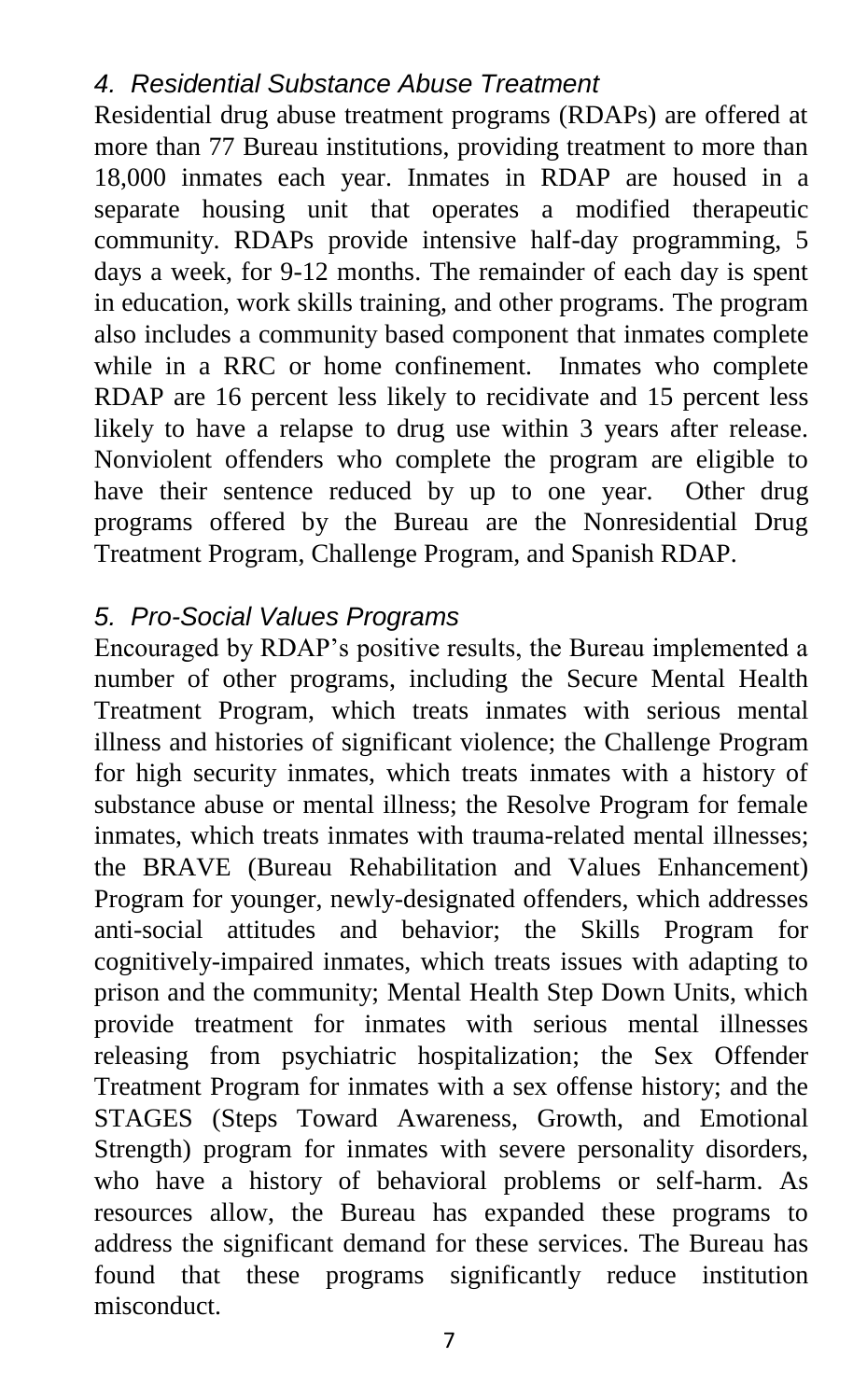#### *4. Residential Substance Abuse Treatment*

Residential drug abuse treatment programs (RDAPs) are offered at more than 77 Bureau institutions, providing treatment to more than 18,000 inmates each year. Inmates in RDAP are housed in a separate housing unit that operates a modified therapeutic community. RDAPs provide intensive half-day programming, 5 days a week, for 9-12 months. The remainder of each day is spent in education, work skills training, and other programs. The program also includes a community based component that inmates complete while in a RRC or home confinement. Inmates who complete RDAP are 16 percent less likely to recidivate and 15 percent less likely to have a relapse to drug use within 3 years after release. Nonviolent offenders who complete the program are eligible to have their sentence reduced by up to one year. Other drug programs offered by the Bureau are the Nonresidential Drug Treatment Program, Challenge Program, and Spanish RDAP.

#### *5. Pro-Social Values Programs*

Encouraged by RDAP's positive results, the Bureau implemented a number of other programs, including the Secure Mental Health Treatment Program, which treats inmates with serious mental illness and histories of significant violence; the Challenge Program for high security inmates, which treats inmates with a history of substance abuse or mental illness; the Resolve Program for female inmates, which treats inmates with trauma-related mental illnesses; the BRAVE (Bureau Rehabilitation and Values Enhancement) Program for younger, newly-designated offenders, which addresses anti-social attitudes and behavior; the Skills Program for cognitively-impaired inmates, which treats issues with adapting to prison and the community; Mental Health Step Down Units, which provide treatment for inmates with serious mental illnesses releasing from psychiatric hospitalization; the Sex Offender Treatment Program for inmates with a sex offense history; and the STAGES (Steps Toward Awareness, Growth, and Emotional Strength) program for inmates with severe personality disorders, who have a history of behavioral problems or self-harm. As resources allow, the Bureau has expanded these programs to address the significant demand for these services. The Bureau has found that these programs significantly reduce institution misconduct.

7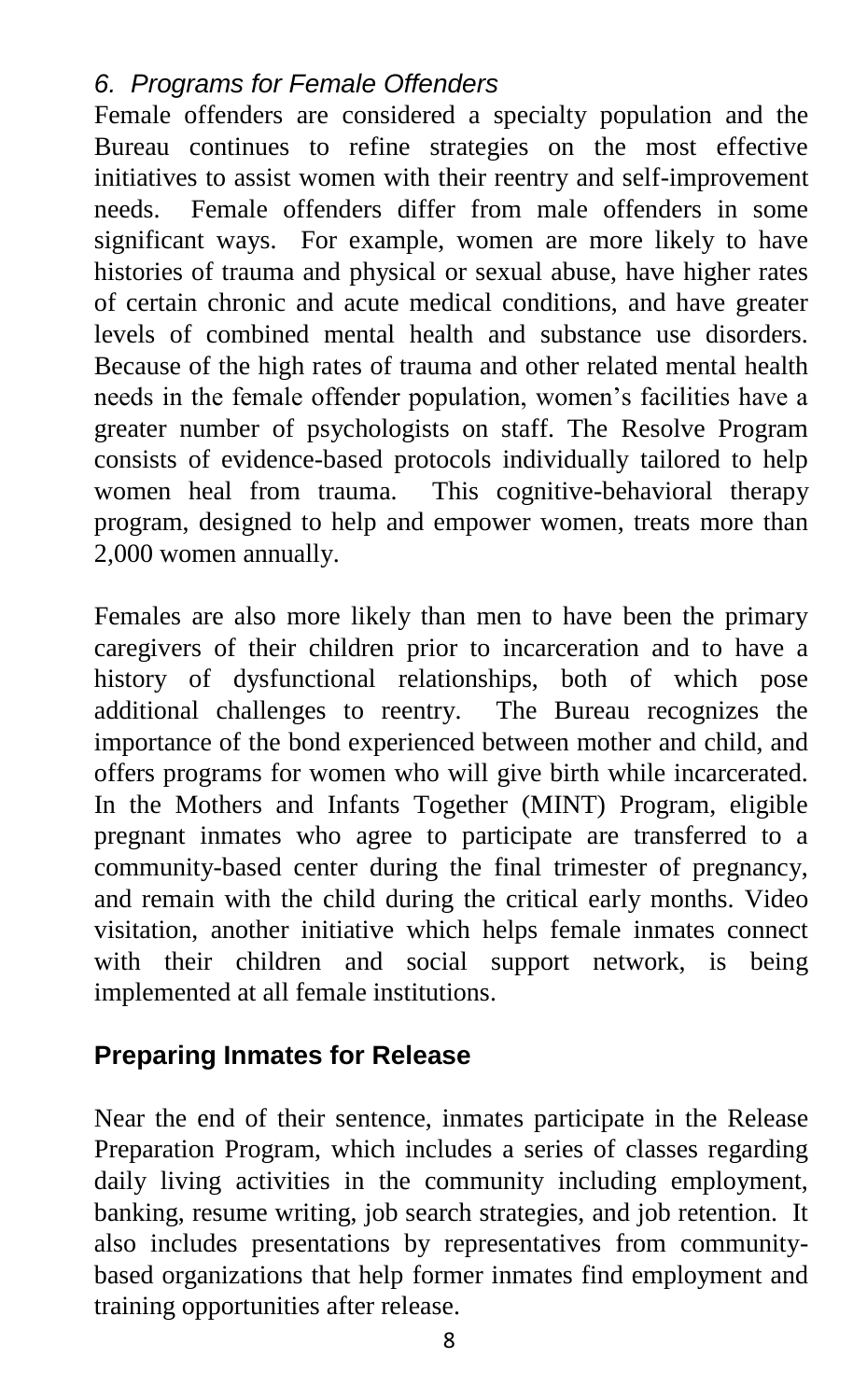#### *6. Programs for Female Offenders*

Female offenders are considered a specialty population and the Bureau continues to refine strategies on the most effective initiatives to assist women with their reentry and self-improvement needs. Female offenders differ from male offenders in some significant ways. For example, women are more likely to have histories of trauma and physical or sexual abuse, have higher rates of certain chronic and acute medical conditions, and have greater levels of combined mental health and substance use disorders. Because of the high rates of trauma and other related mental health needs in the female offender population, women's facilities have a greater number of psychologists on staff. The Resolve Program consists of evidence-based protocols individually tailored to help women heal from trauma. This cognitive-behavioral therapy program, designed to help and empower women, treats more than 2,000 women annually.

Females are also more likely than men to have been the primary caregivers of their children prior to incarceration and to have a history of dysfunctional relationships, both of which pose additional challenges to reentry. The Bureau recognizes the importance of the bond experienced between mother and child, and offers programs for women who will give birth while incarcerated. In the Mothers and Infants Together (MINT) Program, eligible pregnant inmates who agree to participate are transferred to a community-based center during the final trimester of pregnancy, and remain with the child during the critical early months. Video visitation, another initiative which helps female inmates connect with their children and social support network, is being implemented at all female institutions.

# **Preparing Inmates for Release**

Near the end of their sentence, inmates participate in the Release Preparation Program, which includes a series of classes regarding daily living activities in the community including employment, banking, resume writing, job search strategies, and job retention. It also includes presentations by representatives from communitybased organizations that help former inmates find employment and training opportunities after release.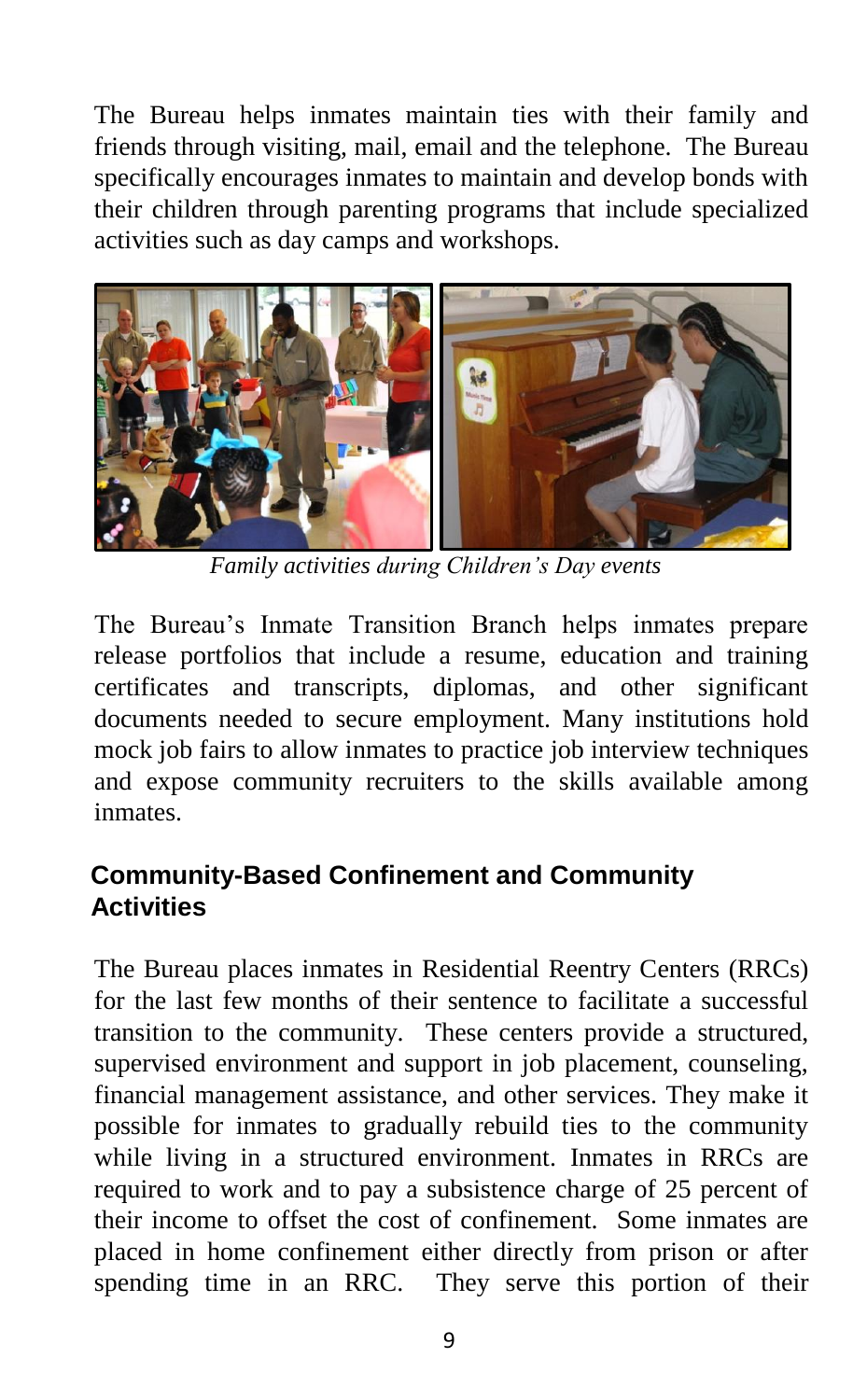The Bureau helps inmates maintain ties with their family and friends through visiting, mail, email and the telephone. The Bureau specifically encourages inmates to maintain and develop bonds with their children through parenting programs that include specialized activities such as day camps and workshops.



*Family activities during Children's Day events*

The Bureau's Inmate Transition Branch helps inmates prepare release portfolios that include a resume, education and training certificates and transcripts, diplomas, and other significant documents needed to secure employment. Many institutions hold mock job fairs to allow inmates to practice job interview techniques and expose community recruiters to the skills available among inmates.

## **Community-Based Confinement and Community Activities**

The Bureau places inmates in Residential Reentry Centers (RRCs) for the last few months of their sentence to facilitate a successful transition to the community. These centers provide a structured, supervised environment and support in job placement, counseling, financial management assistance, and other services. They make it possible for inmates to gradually rebuild ties to the community while living in a structured environment. Inmates in RRCs are required to work and to pay a subsistence charge of 25 percent of their income to offset the cost of confinement. Some inmates are placed in home confinement either directly from prison or after spending time in an RRC. They serve this portion of their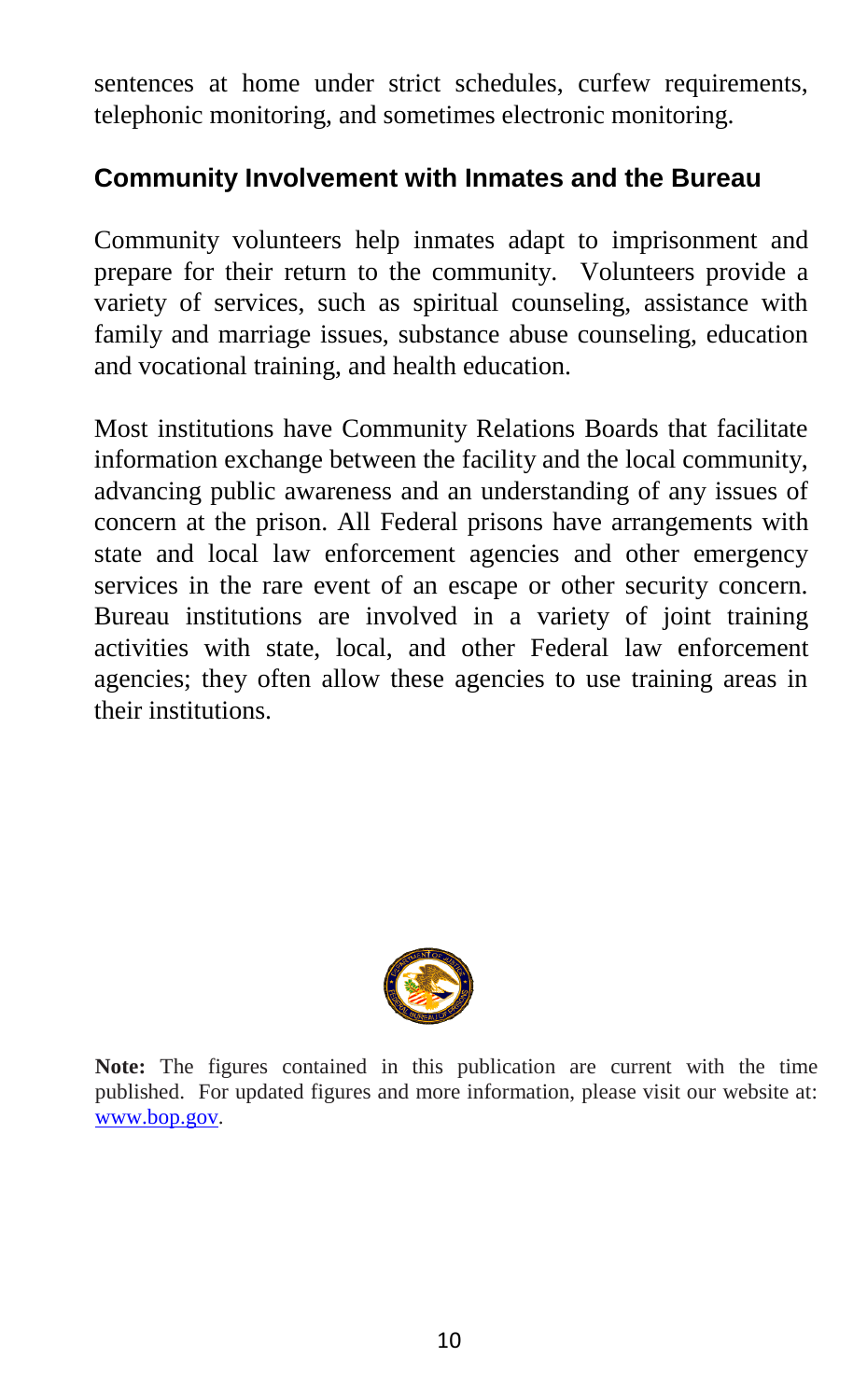sentences at home under strict schedules, curfew requirements, telephonic monitoring, and sometimes electronic monitoring.

#### **Community Involvement with Inmates and the Bureau**

Community volunteers help inmates adapt to imprisonment and prepare for their return to the community. Volunteers provide a variety of services, such as spiritual counseling, assistance with family and marriage issues, substance abuse counseling, education and vocational training, and health education.

Most institutions have Community Relations Boards that facilitate information exchange between the facility and the local community, advancing public awareness and an understanding of any issues of concern at the prison. All Federal prisons have arrangements with state and local law enforcement agencies and other emergency services in the rare event of an escape or other security concern. Bureau institutions are involved in a variety of joint training activities with state, local, and other Federal law enforcement agencies; they often allow these agencies to use training areas in their institutions.



**Note:** The figures contained in this publication are current with the time published. For updated figures and more information, please visit our website at: [www.bop.gov.](file://COPC_IPPAGRP_SERVER/IPPAGRP/Groups/Ippa/OIS/pacomsec/Office%20of%20Communications%20and%20Archives/About%20the%20BOP%20brochure/www.bop.gov)